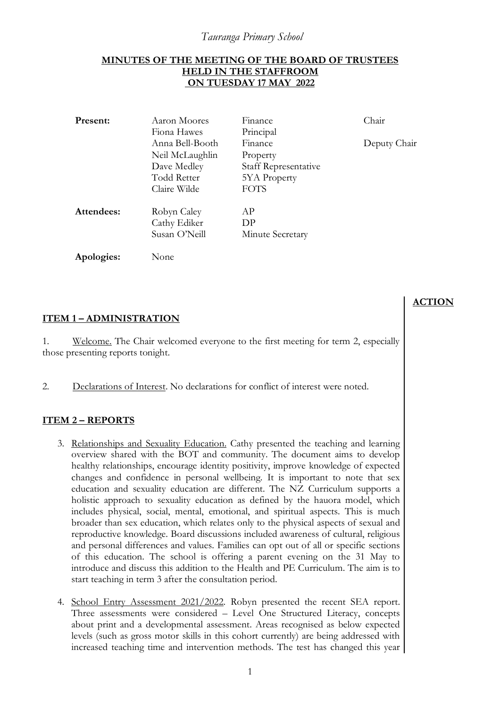## *Tauranga Primary School*

#### **MINUTES OF THE MEETING OF THE BOARD OF TRUSTEES HELD IN THE STAFFROOM ON TUESDAY 17 MAY 2022**

| Present:   | Aaron Moores<br>Fiona Hawes | Finance<br>Principal | Chair        |
|------------|-----------------------------|----------------------|--------------|
|            | Anna Bell-Booth             | Finance              | Deputy Chair |
|            | Neil McLaughlin             | Property             |              |
|            | Dave Medley                 | Staff Representative |              |
|            | <b>Todd Retter</b>          | 5YA Property         |              |
|            | Claire Wilde                | <b>FOTS</b>          |              |
| Attendees: | Robyn Caley                 | AP                   |              |
|            | Cathy Ediker                | DP                   |              |
|            | Susan O'Neill               | Minute Secretary     |              |
| Apologies: | None                        |                      |              |

#### **ITEM 1 – ADMINISTRATION**

1. Welcome. The Chair welcomed everyone to the first meeting for term 2, especially those presenting reports tonight.

2. Declarations of Interest. No declarations for conflict of interest were noted.

#### **ITEM 2 – REPORTS**

- 3. Relationships and Sexuality Education. Cathy presented the teaching and learning overview shared with the BOT and community. The document aims to develop healthy relationships, encourage identity positivity, improve knowledge of expected changes and confidence in personal wellbeing. It is important to note that sex education and sexuality education are different. The NZ Curriculum supports a holistic approach to sexuality education as defined by the hauora model, which includes physical, social, mental, emotional, and spiritual aspects. This is much broader than sex education, which relates only to the physical aspects of sexual and reproductive knowledge. Board discussions included awareness of cultural, religious and personal differences and values. Families can opt out of all or specific sections of this education. The school is offering a parent evening on the 31 May to introduce and discuss this addition to the Health and PE Curriculum. The aim is to start teaching in term 3 after the consultation period.
- 4. School Entry Assessment 2021/2022. Robyn presented the recent SEA report. Three assessments were considered – Level One Structured Literacy, concepts about print and a developmental assessment. Areas recognised as below expected levels (such as gross motor skills in this cohort currently) are being addressed with increased teaching time and intervention methods. The test has changed this year

## **ACTION**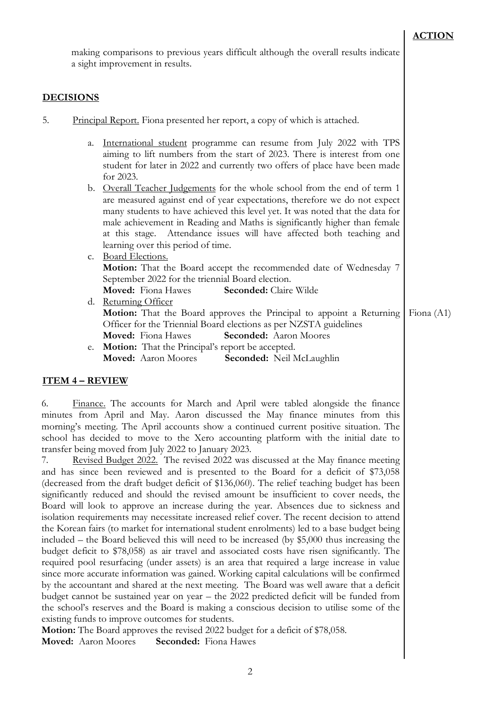making comparisons to previous years difficult although the overall results indicate a sight improvement in results.

# **DECISIONS**

- 5. Principal Report. Fiona presented her report, a copy of which is attached.
	- a. International student programme can resume from July 2022 with TPS aiming to lift numbers from the start of 2023. There is interest from one student for later in 2022 and currently two offers of place have been made for 2023.
	- b. Overall Teacher Judgements for the whole school from the end of term 1 are measured against end of year expectations, therefore we do not expect many students to have achieved this level yet. It was noted that the data for male achievement in Reading and Maths is significantly higher than female at this stage. Attendance issues will have affected both teaching and learning over this period of time.
	- c. Board Elections. **Motion:** That the Board accept the recommended date of Wednesday 7 September 2022 for the triennial Board election. **Moved:** Fiona Hawes **Seconded:** Claire Wilde
	- d. Returning Officer

**Motion:** That the Board approves the Principal to appoint a Returning Officer for the Triennial Board elections as per NZSTA guidelines **Moved:** Fiona Hawes **Seconded:** Aaron Moores Fiona (A1)

e. **Motion:** That the Principal's report be accepted.

**Moved:** Aaron Moores **Seconded:** Neil McLaughlin

### **ITEM 4 – REVIEW**

6. Finance. The accounts for March and April were tabled alongside the finance minutes from April and May. Aaron discussed the May finance minutes from this morning's meeting. The April accounts show a continued current positive situation. The school has decided to move to the Xero accounting platform with the initial date to transfer being moved from July 2022 to January 2023.

7. Revised Budget 2022. The revised 2022 was discussed at the May finance meeting and has since been reviewed and is presented to the Board for a deficit of \$73,058 (decreased from the draft budget deficit of \$136,060). The relief teaching budget has been significantly reduced and should the revised amount be insufficient to cover needs, the Board will look to approve an increase during the year. Absences due to sickness and isolation requirements may necessitate increased relief cover. The recent decision to attend the Korean fairs (to market for international student enrolments) led to a base budget being included – the Board believed this will need to be increased (by \$5,000 thus increasing the budget deficit to \$78,058) as air travel and associated costs have risen significantly. The required pool resurfacing (under assets) is an area that required a large increase in value since more accurate information was gained. Working capital calculations will be confirmed by the accountant and shared at the next meeting. The Board was well aware that a deficit budget cannot be sustained year on year – the 2022 predicted deficit will be funded from the school's reserves and the Board is making a conscious decision to utilise some of the existing funds to improve outcomes for students.

**Motion:** The Board approves the revised 2022 budget for a deficit of \$78,058. **Moved:** Aaron Moores **Seconded:** Fiona Hawes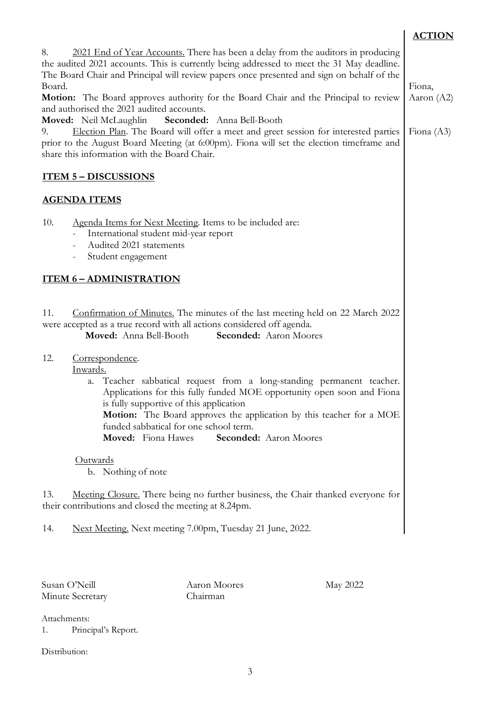# **ACTION**

|                                                                                                                                                                                                                                                                                                                                                                                                                                                                                                                                                                                                                                                                                                                                 | .                                    |
|---------------------------------------------------------------------------------------------------------------------------------------------------------------------------------------------------------------------------------------------------------------------------------------------------------------------------------------------------------------------------------------------------------------------------------------------------------------------------------------------------------------------------------------------------------------------------------------------------------------------------------------------------------------------------------------------------------------------------------|--------------------------------------|
| 8.<br>2021 End of Year Accounts. There has been a delay from the auditors in producing<br>the audited 2021 accounts. This is currently being addressed to meet the 31 May deadline.<br>The Board Chair and Principal will review papers once presented and sign on behalf of the<br>Board.<br>Motion: The Board approves authority for the Board Chair and the Principal to review<br>and authorised the 2021 audited accounts.<br>Seconded: Anna Bell-Booth<br>Moved: Neil McLaughlin<br>Election Plan. The Board will offer a meet and greet session for interested parties<br>9.<br>prior to the August Board Meeting (at 6:00pm). Fiona will set the election timeframe and<br>share this information with the Board Chair. | Fiona,<br>Aaron (A2)<br>Fiona $(A3)$ |
| <b>ITEM 5-DISCUSSIONS</b>                                                                                                                                                                                                                                                                                                                                                                                                                                                                                                                                                                                                                                                                                                       |                                      |
| <b>AGENDA ITEMS</b>                                                                                                                                                                                                                                                                                                                                                                                                                                                                                                                                                                                                                                                                                                             |                                      |
| 10.<br>Agenda Items for Next Meeting. Items to be included are:<br>International student mid-year report<br>Audited 2021 statements<br>Student engagement<br>$\qquad \qquad -$                                                                                                                                                                                                                                                                                                                                                                                                                                                                                                                                                  |                                      |
| <b>ITEM 6 - ADMINISTRATION</b>                                                                                                                                                                                                                                                                                                                                                                                                                                                                                                                                                                                                                                                                                                  |                                      |
| Confirmation of Minutes. The minutes of the last meeting held on 22 March 2022<br>11.<br>were accepted as a true record with all actions considered off agenda.<br>Moved: Anna Bell-Booth<br><b>Seconded:</b> Aaron Moores                                                                                                                                                                                                                                                                                                                                                                                                                                                                                                      |                                      |
| 12.<br>Correspondence.<br>Inwards.<br>Teacher sabbatical request from a long-standing permanent teacher.<br>a.<br>Applications for this fully funded MOE opportunity open soon and Fiona<br>is fully supportive of this application<br>Motion: The Board approves the application by this teacher for a MOE<br>funded sabbatical for one school term.<br>Seconded: Aaron Moores<br>Moved: Fiona Hawes                                                                                                                                                                                                                                                                                                                           |                                      |
| Outwards<br>b. Nothing of note                                                                                                                                                                                                                                                                                                                                                                                                                                                                                                                                                                                                                                                                                                  |                                      |
| Meeting Closure. There being no further business, the Chair thanked everyone for<br>13.<br>their contributions and closed the meeting at 8.24pm.                                                                                                                                                                                                                                                                                                                                                                                                                                                                                                                                                                                |                                      |
| 14.<br>Next Meeting. Next meeting 7.00pm, Tuesday 21 June, 2022.                                                                                                                                                                                                                                                                                                                                                                                                                                                                                                                                                                                                                                                                |                                      |

Susan O'Neill Minute Secretary Aaron Moores Chairman

May 2022

Attachments:

1. Principal's Report.

Distribution: